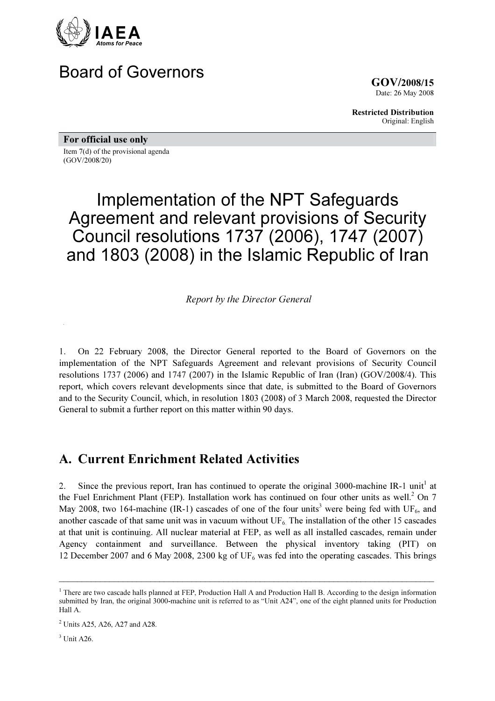

# Board of Governors

GOV/2008/15 Date: 26 May 2008

Restricted Distribution Original: English

For official use only Item 7(d) of the provisional agenda

(GOV/2008/20)

# Implementation of the NPT Safeguards Agreement and relevant provisions of Security Council resolutions 1737 (2006), 1747 (2007) and 1803 (2008) in the Islamic Republic of Iran

Report by the Director General

1. On 22 February 2008, the Director General reported to the Board of Governors on the implementation of the NPT Safeguards Agreement and relevant provisions of Security Council resolutions 1737 (2006) and 1747 (2007) in the Islamic Republic of Iran (Iran) (GOV/2008/4). This report, which covers relevant developments since that date, is submitted to the Board of Governors and to the Security Council, which, in resolution 1803 (2008) of 3 March 2008, requested the Director General to submit a further report on this matter within 90 days.

# A. Current Enrichment Related Activities

2. Since the previous report, Iran has continued to operate the original 3000-machine IR-1 unit<sup>1</sup> at the Fuel Enrichment Plant (FEP). Installation work has continued on four other units as well.<sup>2</sup> On 7 May 2008, two 164-machine (IR-1) cascades of one of the four units<sup>3</sup> were being fed with UF<sub>6</sub>, and another cascade of that same unit was in vacuum without  $UF_6$ . The installation of the other 15 cascades at that unit is continuing. All nuclear material at FEP, as well as all installed cascades, remain under Agency containment and surveillance. Between the physical inventory taking (PIT) on 12 December 2007 and 6 May 2008, 2300 kg of  $UF_6$  was fed into the operating cascades. This brings

\_\_\_\_\_\_\_\_\_\_\_\_\_\_\_\_\_\_\_\_\_\_\_\_\_\_\_\_\_\_\_\_\_\_\_\_\_\_\_\_\_\_\_\_\_\_\_\_\_\_\_\_\_\_\_\_\_\_\_\_\_\_\_\_\_\_\_\_\_\_\_\_\_\_\_\_\_\_\_\_\_\_

<sup>&</sup>lt;sup>1</sup> There are two cascade halls planned at FEP, Production Hall A and Production Hall B. According to the design information submitted by Iran, the original 3000-machine unit is referred to as "Unit A24", one of the eight planned units for Production Hall A.

<sup>&</sup>lt;sup>2</sup> Units A25, A26, A27 and A28.

 $3$  Unit A26.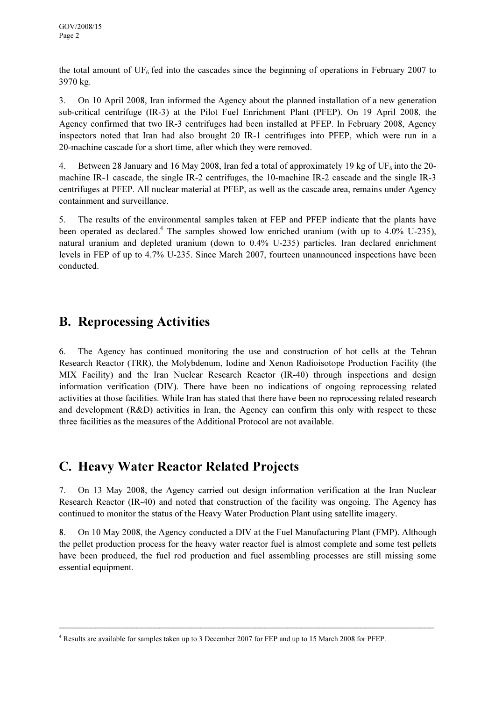the total amount of  $UF<sub>6</sub>$  fed into the cascades since the beginning of operations in February 2007 to 3970 kg.

3. On 10 April 2008, Iran informed the Agency about the planned installation of a new generation sub-critical centrifuge (IR-3) at the Pilot Fuel Enrichment Plant (PFEP). On 19 April 2008, the Agency confirmed that two IR-3 centrifuges had been installed at PFEP. In February 2008, Agency inspectors noted that Iran had also brought 20 IR-1 centrifuges into PFEP, which were run in a 20-machine cascade for a short time, after which they were removed.

4. Between 28 January and 16 May 2008, Iran fed a total of approximately 19 kg of UF<sub>6</sub> into the 20machine IR-1 cascade, the single IR-2 centrifuges, the 10-machine IR-2 cascade and the single IR-3 centrifuges at PFEP. All nuclear material at PFEP, as well as the cascade area, remains under Agency containment and surveillance.

5. The results of the environmental samples taken at FEP and PFEP indicate that the plants have been operated as declared.<sup>4</sup> The samples showed low enriched uranium (with up to 4.0% U-235), natural uranium and depleted uranium (down to 0.4% U-235) particles. Iran declared enrichment levels in FEP of up to 4.7% U-235. Since March 2007, fourteen unannounced inspections have been conducted.

# B. Reprocessing Activities

6. The Agency has continued monitoring the use and construction of hot cells at the Tehran Research Reactor (TRR), the Molybdenum, Iodine and Xenon Radioisotope Production Facility (the MIX Facility) and the Iran Nuclear Research Reactor (IR-40) through inspections and design information verification (DIV). There have been no indications of ongoing reprocessing related activities at those facilities. While Iran has stated that there have been no reprocessing related research and development (R&D) activities in Iran, the Agency can confirm this only with respect to these three facilities as the measures of the Additional Protocol are not available.

# C. Heavy Water Reactor Related Projects

7. On 13 May 2008, the Agency carried out design information verification at the Iran Nuclear Research Reactor (IR-40) and noted that construction of the facility was ongoing. The Agency has continued to monitor the status of the Heavy Water Production Plant using satellite imagery.

8. On 10 May 2008, the Agency conducted a DIV at the Fuel Manufacturing Plant (FMP). Although the pellet production process for the heavy water reactor fuel is almost complete and some test pellets have been produced, the fuel rod production and fuel assembling processes are still missing some essential equipment.

\_\_\_\_\_\_\_\_\_\_\_\_\_\_\_\_\_\_\_\_\_\_\_\_\_\_\_\_\_\_\_\_\_\_\_\_\_\_\_\_\_\_\_\_\_\_\_\_\_\_\_\_\_\_\_\_\_\_\_\_\_\_\_\_\_\_\_\_\_\_\_\_\_\_\_\_\_\_\_\_\_\_

<sup>&</sup>lt;sup>4</sup> Results are available for samples taken up to 3 December 2007 for FEP and up to 15 March 2008 for PFEP.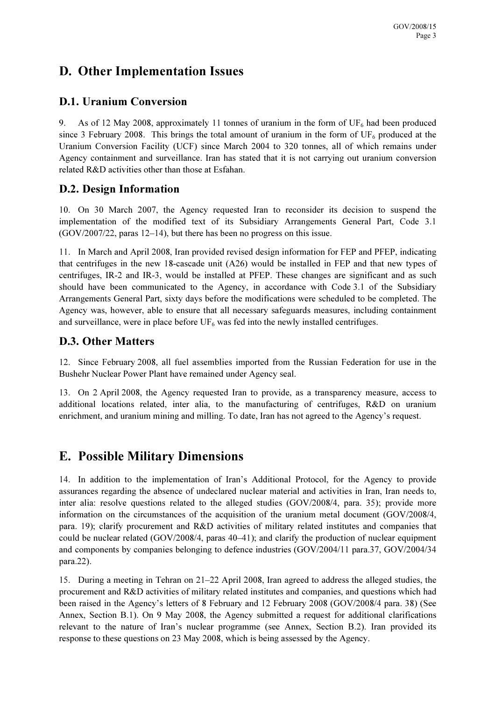# D. Other Implementation Issues

## D.1. Uranium Conversion

9. As of 12 May 2008, approximately 11 tonnes of uranium in the form of  $UF_6$  had been produced since 3 February 2008. This brings the total amount of uranium in the form of  $UF_6$  produced at the Uranium Conversion Facility (UCF) since March 2004 to 320 tonnes, all of which remains under Agency containment and surveillance. Iran has stated that it is not carrying out uranium conversion related R&D activities other than those at Esfahan.

### D.2. Design Information

10. On 30 March 2007, the Agency requested Iran to reconsider its decision to suspend the implementation of the modified text of its Subsidiary Arrangements General Part, Code 3.1 (GOV/2007/22, paras 12–14), but there has been no progress on this issue.

11. In March and April 2008, Iran provided revised design information for FEP and PFEP, indicating that centrifuges in the new 18-cascade unit (A26) would be installed in FEP and that new types of centrifuges, IR-2 and IR-3, would be installed at PFEP. These changes are significant and as such should have been communicated to the Agency, in accordance with Code 3.1 of the Subsidiary Arrangements General Part, sixty days before the modifications were scheduled to be completed. The Agency was, however, able to ensure that all necessary safeguards measures, including containment and surveillance, were in place before  $UF_6$  was fed into the newly installed centrifuges.

## D.3. Other Matters

12. Since February 2008, all fuel assemblies imported from the Russian Federation for use in the Bushehr Nuclear Power Plant have remained under Agency seal.

13. On 2 April 2008, the Agency requested Iran to provide, as a transparency measure, access to additional locations related, inter alia, to the manufacturing of centrifuges, R&D on uranium enrichment, and uranium mining and milling. To date, Iran has not agreed to the Agency's request.

## E. Possible Military Dimensions

14. In addition to the implementation of Iran's Additional Protocol, for the Agency to provide assurances regarding the absence of undeclared nuclear material and activities in Iran, Iran needs to, inter alia: resolve questions related to the alleged studies (GOV/2008/4, para. 35); provide more information on the circumstances of the acquisition of the uranium metal document (GOV/2008/4, para. 19); clarify procurement and R&D activities of military related institutes and companies that could be nuclear related (GOV/2008/4, paras 40–41); and clarify the production of nuclear equipment and components by companies belonging to defence industries (GOV/2004/11 para.37, GOV/2004/34 para.22).

15. During a meeting in Tehran on 21–22 April 2008, Iran agreed to address the alleged studies, the procurement and R&D activities of military related institutes and companies, and questions which had been raised in the Agency's letters of 8 February and 12 February 2008 (GOV/2008/4 para. 38) (See Annex, Section B.1). On 9 May 2008, the Agency submitted a request for additional clarifications relevant to the nature of Iran's nuclear programme (see Annex, Section B.2). Iran provided its response to these questions on 23 May 2008, which is being assessed by the Agency.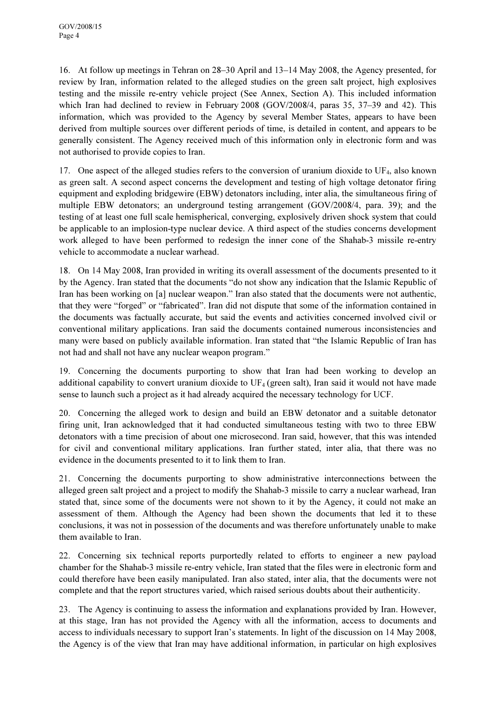16. At follow up meetings in Tehran on 28–30 April and 13–14 May 2008, the Agency presented, for review by Iran, information related to the alleged studies on the green salt project, high explosives testing and the missile re-entry vehicle project (See Annex, Section A). This included information which Iran had declined to review in February 2008 (GOV/2008/4, paras 35, 37-39 and 42). This information, which was provided to the Agency by several Member States, appears to have been derived from multiple sources over different periods of time, is detailed in content, and appears to be generally consistent. The Agency received much of this information only in electronic form and was not authorised to provide copies to Iran.

17. One aspect of the alleged studies refers to the conversion of uranium dioxide to UF4, also known as green salt. A second aspect concerns the development and testing of high voltage detonator firing equipment and exploding bridgewire (EBW) detonators including, inter alia, the simultaneous firing of multiple EBW detonators; an underground testing arrangement (GOV/2008/4, para. 39); and the testing of at least one full scale hemispherical, converging, explosively driven shock system that could be applicable to an implosion-type nuclear device. A third aspect of the studies concerns development work alleged to have been performed to redesign the inner cone of the Shahab-3 missile re-entry vehicle to accommodate a nuclear warhead.

18. On 14 May 2008, Iran provided in writing its overall assessment of the documents presented to it by the Agency. Iran stated that the documents "do not show any indication that the Islamic Republic of Iran has been working on [a] nuclear weapon." Iran also stated that the documents were not authentic, that they were "forged" or "fabricated". Iran did not dispute that some of the information contained in the documents was factually accurate, but said the events and activities concerned involved civil or conventional military applications. Iran said the documents contained numerous inconsistencies and many were based on publicly available information. Iran stated that "the Islamic Republic of Iran has not had and shall not have any nuclear weapon program."

19. Concerning the documents purporting to show that Iran had been working to develop an additional capability to convert uranium dioxide to  $UF_4$  (green salt), Iran said it would not have made sense to launch such a project as it had already acquired the necessary technology for UCF.

20. Concerning the alleged work to design and build an EBW detonator and a suitable detonator firing unit, Iran acknowledged that it had conducted simultaneous testing with two to three EBW detonators with a time precision of about one microsecond. Iran said, however, that this was intended for civil and conventional military applications. Iran further stated, inter alia, that there was no evidence in the documents presented to it to link them to Iran.

21. Concerning the documents purporting to show administrative interconnections between the alleged green salt project and a project to modify the Shahab-3 missile to carry a nuclear warhead, Iran stated that, since some of the documents were not shown to it by the Agency, it could not make an assessment of them. Although the Agency had been shown the documents that led it to these conclusions, it was not in possession of the documents and was therefore unfortunately unable to make them available to Iran.

22. Concerning six technical reports purportedly related to efforts to engineer a new payload chamber for the Shahab-3 missile re-entry vehicle, Iran stated that the files were in electronic form and could therefore have been easily manipulated. Iran also stated, inter alia, that the documents were not complete and that the report structures varied, which raised serious doubts about their authenticity.

23. The Agency is continuing to assess the information and explanations provided by Iran. However, at this stage, Iran has not provided the Agency with all the information, access to documents and access to individuals necessary to support Iran's statements. In light of the discussion on 14 May 2008, the Agency is of the view that Iran may have additional information, in particular on high explosives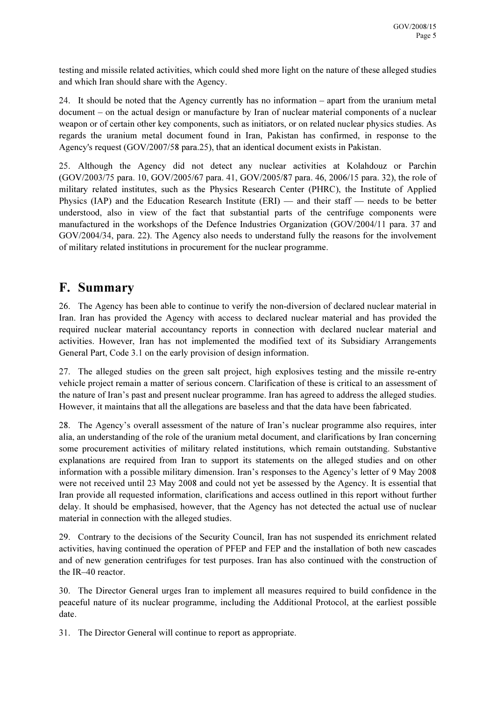testing and missile related activities, which could shed more light on the nature of these alleged studies and which Iran should share with the Agency.

24. It should be noted that the Agency currently has no information – apart from the uranium metal document – on the actual design or manufacture by Iran of nuclear material components of a nuclear weapon or of certain other key components, such as initiators, or on related nuclear physics studies. As regards the uranium metal document found in Iran, Pakistan has confirmed, in response to the Agency's request (GOV/2007/58 para.25), that an identical document exists in Pakistan.

25. Although the Agency did not detect any nuclear activities at Kolahdouz or Parchin (GOV/2003/75 para. 10, GOV/2005/67 para. 41, GOV/2005/87 para. 46, 2006/15 para. 32), the role of military related institutes, such as the Physics Research Center (PHRC), the Institute of Applied Physics (IAP) and the Education Research Institute (ERI) — and their staff — needs to be better understood, also in view of the fact that substantial parts of the centrifuge components were manufactured in the workshops of the Defence Industries Organization (GOV/2004/11 para. 37 and GOV/2004/34, para. 22). The Agency also needs to understand fully the reasons for the involvement of military related institutions in procurement for the nuclear programme.

## F. Summary

26. The Agency has been able to continue to verify the non-diversion of declared nuclear material in Iran. Iran has provided the Agency with access to declared nuclear material and has provided the required nuclear material accountancy reports in connection with declared nuclear material and activities. However, Iran has not implemented the modified text of its Subsidiary Arrangements General Part, Code 3.1 on the early provision of design information.

27. The alleged studies on the green salt project, high explosives testing and the missile re-entry vehicle project remain a matter of serious concern. Clarification of these is critical to an assessment of the nature of Iran's past and present nuclear programme. Iran has agreed to address the alleged studies. However, it maintains that all the allegations are baseless and that the data have been fabricated.

28. The Agency's overall assessment of the nature of Iran's nuclear programme also requires, inter alia, an understanding of the role of the uranium metal document, and clarifications by Iran concerning some procurement activities of military related institutions, which remain outstanding. Substantive explanations are required from Iran to support its statements on the alleged studies and on other information with a possible military dimension. Iran's responses to the Agency's letter of 9 May 2008 were not received until 23 May 2008 and could not yet be assessed by the Agency. It is essential that Iran provide all requested information, clarifications and access outlined in this report without further delay. It should be emphasised, however, that the Agency has not detected the actual use of nuclear material in connection with the alleged studies.

29. Contrary to the decisions of the Security Council, Iran has not suspended its enrichment related activities, having continued the operation of PFEP and FEP and the installation of both new cascades and of new generation centrifuges for test purposes. Iran has also continued with the construction of the IR–40 reactor.

30. The Director General urges Iran to implement all measures required to build confidence in the peaceful nature of its nuclear programme, including the Additional Protocol, at the earliest possible date.

31. The Director General will continue to report as appropriate.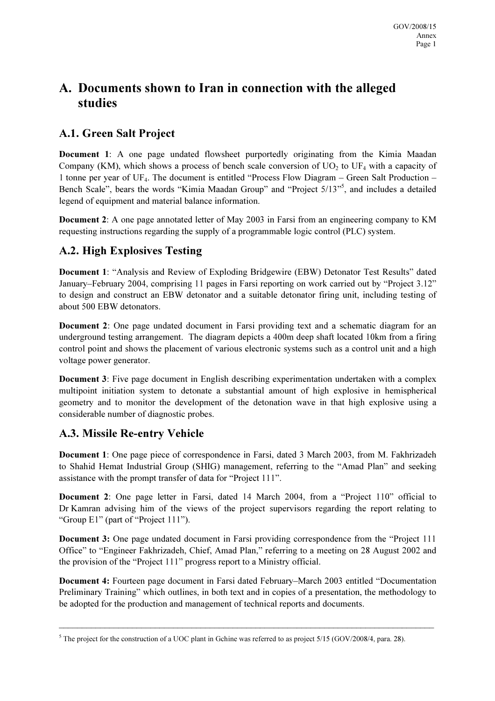# A. Documents shown to Iran in connection with the alleged studies

## A.1. Green Salt Project

Document 1: A one page undated flowsheet purportedly originating from the Kimia Maadan Company (KM), which shows a process of bench scale conversion of  $UO<sub>2</sub>$  to  $UF<sub>4</sub>$  with a capacity of 1 tonne per year of UF4. The document is entitled "Process Flow Diagram – Green Salt Production – Bench Scale", bears the words "Kimia Maadan Group" and "Project 5/13"<sup>5</sup>, and includes a detailed legend of equipment and material balance information.

Document 2: A one page annotated letter of May 2003 in Farsi from an engineering company to KM requesting instructions regarding the supply of a programmable logic control (PLC) system.

## A.2. High Explosives Testing

Document 1: "Analysis and Review of Exploding Bridgewire (EBW) Detonator Test Results" dated January–February 2004, comprising 11 pages in Farsi reporting on work carried out by "Project 3.12" to design and construct an EBW detonator and a suitable detonator firing unit, including testing of about 500 EBW detonators.

Document 2: One page undated document in Farsi providing text and a schematic diagram for an underground testing arrangement. The diagram depicts a 400m deep shaft located 10km from a firing control point and shows the placement of various electronic systems such as a control unit and a high voltage power generator.

Document 3: Five page document in English describing experimentation undertaken with a complex multipoint initiation system to detonate a substantial amount of high explosive in hemispherical geometry and to monitor the development of the detonation wave in that high explosive using a considerable number of diagnostic probes.

### A.3. Missile Re-entry Vehicle

Document 1: One page piece of correspondence in Farsi, dated 3 March 2003, from M. Fakhrizadeh to Shahid Hemat Industrial Group (SHIG) management, referring to the "Amad Plan" and seeking assistance with the prompt transfer of data for "Project 111".

Document 2: One page letter in Farsi, dated 14 March 2004, from a "Project 110" official to Dr Kamran advising him of the views of the project supervisors regarding the report relating to "Group E1" (part of "Project 111").

Document 3: One page undated document in Farsi providing correspondence from the "Project 111 Office" to "Engineer Fakhrizadeh, Chief, Amad Plan," referring to a meeting on 28 August 2002 and the provision of the "Project 111" progress report to a Ministry official.

Document 4: Fourteen page document in Farsi dated February–March 2003 entitled "Documentation Preliminary Training" which outlines, in both text and in copies of a presentation, the methodology to be adopted for the production and management of technical reports and documents.

\_\_\_\_\_\_\_\_\_\_\_\_\_\_\_\_\_\_\_\_\_\_\_\_\_\_\_\_\_\_\_\_\_\_\_\_\_\_\_\_\_\_\_\_\_\_\_\_\_\_\_\_\_\_\_\_\_\_\_\_\_\_\_\_\_\_\_\_\_\_\_\_\_\_\_\_\_\_\_\_\_\_

<sup>&</sup>lt;sup>5</sup> The project for the construction of a UOC plant in Gchine was referred to as project  $5/15$  (GOV/2008/4, para. 28).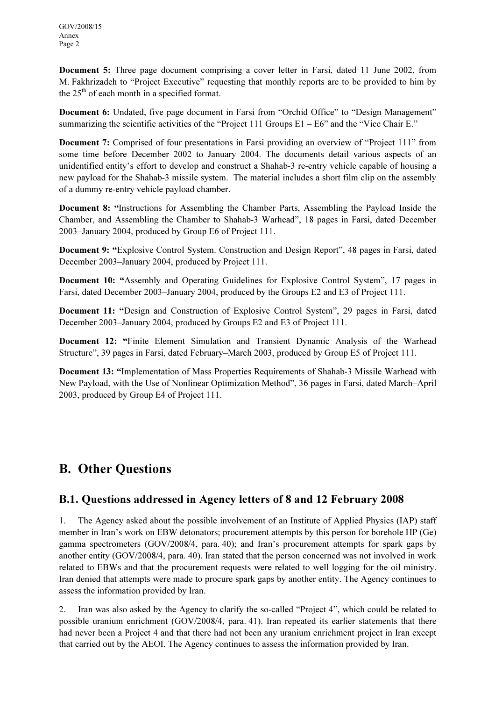Document 5: Three page document comprising a cover letter in Farsi, dated 11 June 2002, from M. Fakhrizadeh to "Project Executive" requesting that monthly reports are to be provided to him by the  $25<sup>th</sup>$  of each month in a specified format.

Document 6: Undated, five page document in Farsi from "Orchid Office" to "Design Management" summarizing the scientific activities of the "Project 111 Groups  $E1 - E6$ " and the "Vice Chair E."

Document 7: Comprised of four presentations in Farsi providing an overview of "Project 111" from some time before December 2002 to January 2004. The documents detail various aspects of an unidentified entity's effort to develop and construct a Shahab-3 re-entry vehicle capable of housing a new payload for the Shahab-3 missile system. The material includes a short film clip on the assembly of a dummy re-entry vehicle payload chamber.

Document 8: "Instructions for Assembling the Chamber Parts, Assembling the Payload Inside the Chamber, and Assembling the Chamber to Shahab-3 Warhead", 18 pages in Farsi, dated December 2003–January 2004, produced by Group E6 of Project 111.

Document 9: "Explosive Control System. Construction and Design Report", 48 pages in Farsi, dated December 2003–January 2004, produced by Project 111.

Document 10: "Assembly and Operating Guidelines for Explosive Control System", 17 pages in Farsi, dated December 2003–January 2004, produced by the Groups E2 and E3 of Project 111.

Document 11: "Design and Construction of Explosive Control System", 29 pages in Farsi, dated December 2003–January 2004, produced by Groups E2 and E3 of Project 111.

Document 12: "Finite Element Simulation and Transient Dynamic Analysis of the Warhead Structure", 39 pages in Farsi, dated February–March 2003, produced by Group E5 of Project 111.

Document 13: "Implementation of Mass Properties Requirements of Shahab-3 Missile Warhead with New Payload, with the Use of Nonlinear Optimization Method", 36 pages in Farsi, dated March–April 2003, produced by Group E4 of Project 111.

# B. Other Questions

### B.1. Questions addressed in Agency letters of 8 and 12 February 2008

1. The Agency asked about the possible involvement of an Institute of Applied Physics (IAP) staff member in Iran's work on EBW detonators; procurement attempts by this person for borehole HP (Ge) gamma spectrometers (GOV/2008/4, para. 40); and Iran's procurement attempts for spark gaps by another entity (GOV/2008/4, para. 40). Iran stated that the person concerned was not involved in work related to EBWs and that the procurement requests were related to well logging for the oil ministry. Iran denied that attempts were made to procure spark gaps by another entity. The Agency continues to assess the information provided by Iran.

2. Iran was also asked by the Agency to clarify the so-called "Project 4", which could be related to possible uranium enrichment (GOV/2008/4, para. 41). Iran repeated its earlier statements that there had never been a Project 4 and that there had not been any uranium enrichment project in Iran except that carried out by the AEOI. The Agency continues to assess the information provided by Iran.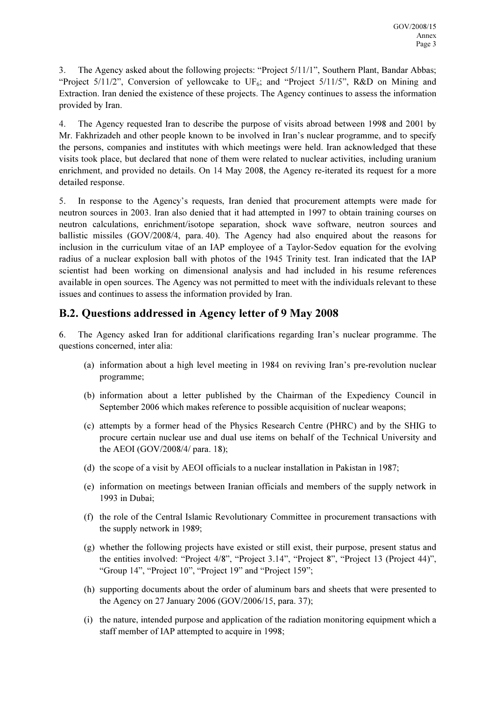3. The Agency asked about the following projects: "Project 5/11/1", Southern Plant, Bandar Abbas; "Project  $5/11/2$ ", Conversion of yellowcake to UF<sub>6</sub>; and "Project  $5/11/5$ ", R&D on Mining and Extraction. Iran denied the existence of these projects. The Agency continues to assess the information provided by Iran.

4. The Agency requested Iran to describe the purpose of visits abroad between 1998 and 2001 by Mr. Fakhrizadeh and other people known to be involved in Iran's nuclear programme, and to specify the persons, companies and institutes with which meetings were held. Iran acknowledged that these visits took place, but declared that none of them were related to nuclear activities, including uranium enrichment, and provided no details. On 14 May 2008, the Agency re-iterated its request for a more detailed response.

5. In response to the Agency's requests, Iran denied that procurement attempts were made for neutron sources in 2003. Iran also denied that it had attempted in 1997 to obtain training courses on neutron calculations, enrichment/isotope separation, shock wave software, neutron sources and ballistic missiles (GOV/2008/4, para. 40). The Agency had also enquired about the reasons for inclusion in the curriculum vitae of an IAP employee of a Taylor-Sedov equation for the evolving radius of a nuclear explosion ball with photos of the 1945 Trinity test. Iran indicated that the IAP scientist had been working on dimensional analysis and had included in his resume references available in open sources. The Agency was not permitted to meet with the individuals relevant to these issues and continues to assess the information provided by Iran.

## B.2. Questions addressed in Agency letter of 9 May 2008

6. The Agency asked Iran for additional clarifications regarding Iran's nuclear programme. The questions concerned, inter alia:

- (a) information about a high level meeting in 1984 on reviving Iran's pre-revolution nuclear programme;
- (b) information about a letter published by the Chairman of the Expediency Council in September 2006 which makes reference to possible acquisition of nuclear weapons;
- (c) attempts by a former head of the Physics Research Centre (PHRC) and by the SHIG to procure certain nuclear use and dual use items on behalf of the Technical University and the AEOI (GOV/2008/4/ para. 18);
- (d) the scope of a visit by AEOI officials to a nuclear installation in Pakistan in 1987;
- (e) information on meetings between Iranian officials and members of the supply network in 1993 in Dubai;
- (f) the role of the Central Islamic Revolutionary Committee in procurement transactions with the supply network in 1989;
- (g) whether the following projects have existed or still exist, their purpose, present status and the entities involved: "Project 4/8", "Project 3.14", "Project 8", "Project 13 (Project 44)", "Group 14", "Project 10", "Project 19" and "Project 159";
- (h) supporting documents about the order of aluminum bars and sheets that were presented to the Agency on 27 January 2006 (GOV/2006/15, para. 37);
- (i) the nature, intended purpose and application of the radiation monitoring equipment which a staff member of IAP attempted to acquire in 1998;